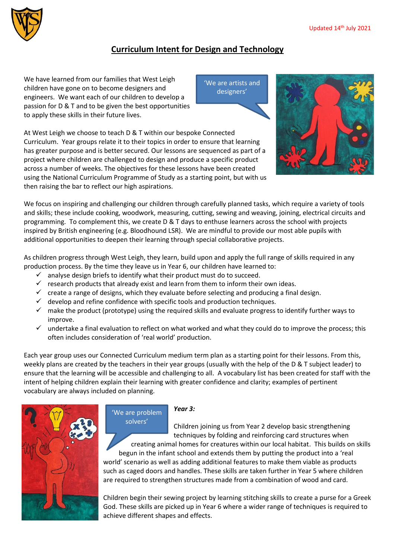

## **Curriculum Intent for Design and Technology**

We have learned from our families that West Leigh children have gone on to become designers and engineers. We want each of our children to develop a passion for D & T and to be given the best opportunities to apply these skills in their future lives.

'We are artists and designers'



At West Leigh we choose to teach D & T within our bespoke Connected Curriculum. Year groups relate it to their topics in order to ensure that learning has greater purpose and is better secured. Our lessons are sequenced as part of a project where children are challenged to design and produce a specific product across a number of weeks. The objectives for these lessons have been created using the National Curriculum Programme of Study as a starting point, but with us then raising the bar to reflect our high aspirations.

We focus on inspiring and challenging our children through carefully planned tasks, which require a variety of tools and skills; these include cooking, woodwork, measuring, cutting, sewing and weaving, joining, electrical circuits and programming. To complement this, we create D & T days to enthuse learners across the school with projects inspired by British engineering (e.g. Bloodhound LSR). We are mindful to provide our most able pupils with additional opportunities to deepen their learning through special collaborative projects.

As children progress through West Leigh, they learn, build upon and apply the full range of skills required in any production process. By the time they leave us in Year 6, our children have learned to:

 $\checkmark$  analyse design briefs to identify what their product must do to succeed.

'We are problem solvers'

- $\checkmark$  research products that already exist and learn from them to inform their own ideas.
- $\checkmark$  create a range of designs, which they evaluate before selecting and producing a final design.
- $\checkmark$  develop and refine confidence with specific tools and production techniques.
- $\checkmark$  make the product (prototype) using the required skills and evaluate progress to identify further ways to improve.
- $\checkmark$  undertake a final evaluation to reflect on what worked and what they could do to improve the process; this often includes consideration of 'real world' production.

Each year group uses our Connected Curriculum medium term plan as a starting point for their lessons. From this, weekly plans are created by the teachers in their year groups (usually with the help of the D & T subject leader) to ensure that the learning will be accessible and challenging to all. A vocabulary list has been created for staff with the intent of helping children explain their learning with greater confidence and clarity; examples of pertinent vocabulary are always included on planning.



*Year 3:*

Children joining us from Year 2 develop basic strengthening techniques by folding and reinforcing card structures when

creating animal homes for creatures within our local habitat. This builds on skills begun in the infant school and extends them by putting the product into a 'real world' scenario as well as adding additional features to make them viable as products such as caged doors and handles. These skills are taken further in Year 5 where children are required to strengthen structures made from a combination of wood and card.

Children begin their sewing project by learning stitching skills to create a purse for a Greek God. These skills are picked up in Year 6 where a wider range of techniques is required to achieve different shapes and effects.